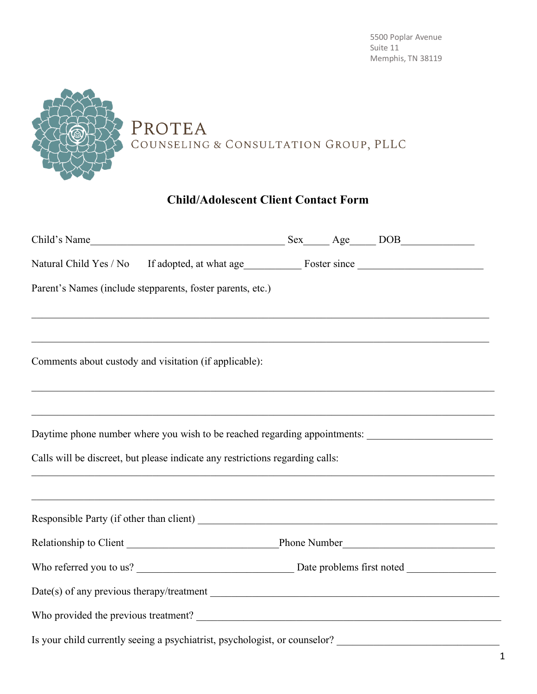

## **Child/Adolescent Client Contact Form**

| Parent's Names (include stepparents, foster parents, etc.)                                                                                                                                                                                                                 |  |  |
|----------------------------------------------------------------------------------------------------------------------------------------------------------------------------------------------------------------------------------------------------------------------------|--|--|
| Comments about custody and visitation (if applicable):                                                                                                                                                                                                                     |  |  |
| ,我们也不能在这里的人,我们也不能在这里的人,我们也不能在这里的人,我们也不能在这里的人,我们也不能在这里的人,我们也不能在这里的人,我们也不能在这里的人,我们也<br>Daytime phone number where you wish to be reached regarding appointments: __________________________<br>Calls will be discreet, but please indicate any restrictions regarding calls: |  |  |
| <u> 1989 - Jan James James James James James James James James James James James James James James James James J</u>                                                                                                                                                       |  |  |
|                                                                                                                                                                                                                                                                            |  |  |
|                                                                                                                                                                                                                                                                            |  |  |
|                                                                                                                                                                                                                                                                            |  |  |
|                                                                                                                                                                                                                                                                            |  |  |
| Is your child currently seeing a psychiatrist, psychologist, or counselor?                                                                                                                                                                                                 |  |  |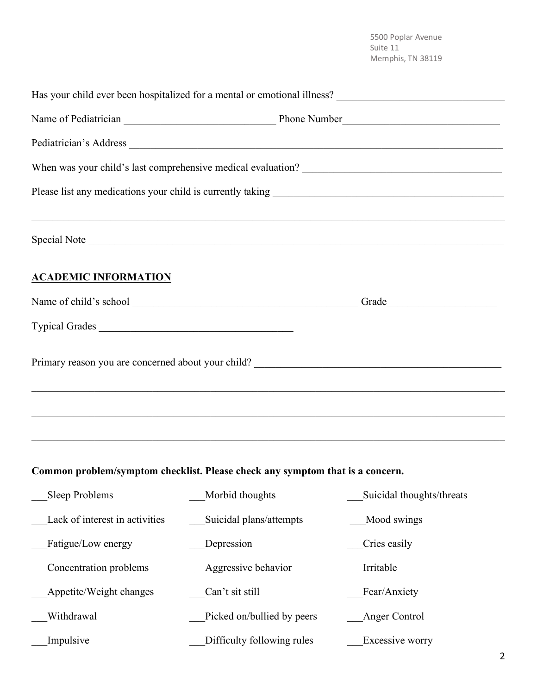|                                |                                                                                                                                                                                                           | Special Note              |  |  |  |
|--------------------------------|-----------------------------------------------------------------------------------------------------------------------------------------------------------------------------------------------------------|---------------------------|--|--|--|
| <b>ACADEMIC INFORMATION</b>    |                                                                                                                                                                                                           |                           |  |  |  |
|                                |                                                                                                                                                                                                           |                           |  |  |  |
| Typical Grades                 |                                                                                                                                                                                                           |                           |  |  |  |
|                                | <u> 1989 - Johann Harry Harry Harry Harry Harry Harry Harry Harry Harry Harry Harry Harry Harry Harry Harry Harry</u><br>,我们的人们就会在这里的人们,我们的人们就会在这里的人们,我们也不会在这里的人们,我们也不会在这里的人们,我们也不会在这里的人们,我们也不会在这里的人们,我们也 |                           |  |  |  |
|                                | Common problem/symptom checklist. Please check any symptom that is a concern.                                                                                                                             |                           |  |  |  |
| Sleep Problems                 | Morbid thoughts                                                                                                                                                                                           | Suicidal thoughts/threats |  |  |  |
| Lack of interest in activities | Suicidal plans/attempts                                                                                                                                                                                   | Mood swings               |  |  |  |
| Fatigue/Low energy             | Depression                                                                                                                                                                                                | Cries easily              |  |  |  |
| Concentration problems         | Aggressive behavior                                                                                                                                                                                       | Irritable                 |  |  |  |
| Appetite/Weight changes        | Can't sit still                                                                                                                                                                                           | Fear/Anxiety              |  |  |  |
| Withdrawal                     | Picked on/bullied by peers                                                                                                                                                                                | Anger Control             |  |  |  |
| Impulsive                      | Difficulty following rules                                                                                                                                                                                | Excessive worry           |  |  |  |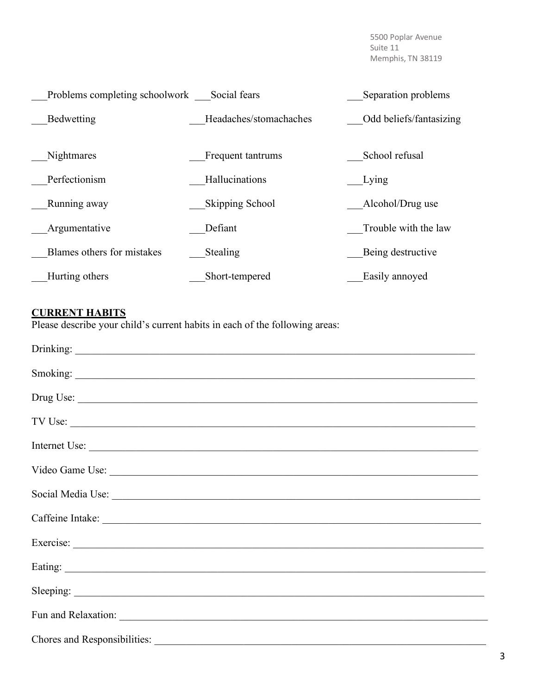| Problems completing schoolwork | Social fears           | Separation problems     |
|--------------------------------|------------------------|-------------------------|
| Bedwetting                     | Headaches/stomachaches | Odd beliefs/fantasizing |
| <b>Nightmares</b>              | Frequent tantrums      | School refusal          |
| Perfectionism                  | Hallucinations         | Lying                   |
| Running away                   | Skipping School        | Alcohol/Drug use        |
| Argumentative                  | Defiant                | Trouble with the law    |
| Blames others for mistakes     | Stealing               | Being destructive       |
| Hurting others                 | Short-tempered         | Easily annoyed          |

## **CURRENT HABITS**

Please describe your child's current habits in each of the following areas:

| Drug Use:                                                                                                                                                                                                                      |
|--------------------------------------------------------------------------------------------------------------------------------------------------------------------------------------------------------------------------------|
|                                                                                                                                                                                                                                |
| Internet Use:                                                                                                                                                                                                                  |
|                                                                                                                                                                                                                                |
| Social Media Use: 1988. Contract to the Contract of the Contract of the Contract of the Contract of the Contract of the Contract of the Contract of the Contract of the Contract of the Contract of the Contract of the Contra |
| Caffeine Intake:                                                                                                                                                                                                               |
|                                                                                                                                                                                                                                |
|                                                                                                                                                                                                                                |
|                                                                                                                                                                                                                                |
|                                                                                                                                                                                                                                |
|                                                                                                                                                                                                                                |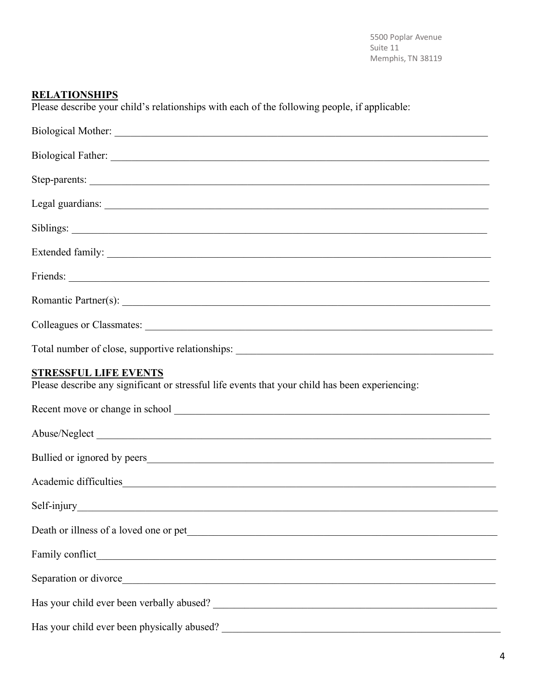## **RELATIONSHIPS**

Please describe your child's relationships with each of the following people, if applicable:

| Friends: <u>and a series of the series of the series of the series of the series of the series of the series of the series of the series of the series of the series of the series of the series of the series of the series of </u> |
|--------------------------------------------------------------------------------------------------------------------------------------------------------------------------------------------------------------------------------------|
|                                                                                                                                                                                                                                      |
|                                                                                                                                                                                                                                      |
| Total number of close, supportive relationships: ________________________________                                                                                                                                                    |
| <b>STRESSFUL LIFE EVENTS</b><br>Please describe any significant or stressful life events that your child has been experiencing:                                                                                                      |
|                                                                                                                                                                                                                                      |
|                                                                                                                                                                                                                                      |
|                                                                                                                                                                                                                                      |
|                                                                                                                                                                                                                                      |
|                                                                                                                                                                                                                                      |
|                                                                                                                                                                                                                                      |
|                                                                                                                                                                                                                                      |
|                                                                                                                                                                                                                                      |
| Has your child ever been verbally abused?<br><u>Letting</u> and the set of the set of the set of the set of the set of the set of the set of the set of the set of the set of the set of the set of the set of the set of the set of |
|                                                                                                                                                                                                                                      |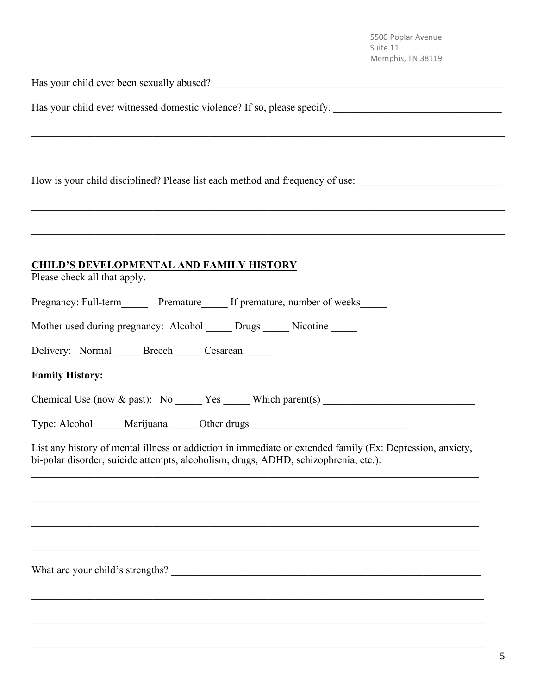Has your child ever been sexually abused? \_\_\_\_\_\_\_\_\_\_\_\_\_\_\_\_\_\_\_\_\_\_\_\_\_\_\_\_\_\_\_\_\_\_\_\_\_\_\_\_\_\_\_\_\_\_\_\_\_\_\_\_\_\_\_

Has your child ever witnessed domestic violence? If so, please specify.

How is your child disciplined? Please list each method and frequency of use: \_\_\_\_\_\_\_\_\_\_\_\_\_\_\_\_\_\_\_\_\_\_\_\_\_\_\_\_\_\_\_\_\_

## **CHILD'S DEVELOPMENTAL AND FAMILY HISTORY**

| Please check all that apply. |  |
|------------------------------|--|
|------------------------------|--|

| Pregnancy: Full-term | Premature | If premature, number of weeks |  |  |
|----------------------|-----------|-------------------------------|--|--|
|----------------------|-----------|-------------------------------|--|--|

|  | Mother used during pregnancy: Alcohol | Drugs | Nicotine |  |
|--|---------------------------------------|-------|----------|--|
|  |                                       |       |          |  |

Delivery: Normal Breech Cesarean

**Family History:** 

Chemical Use (now  $\&$  past): No Yes Which parent(s)

 $\mathcal{L}_\mathcal{L} = \mathcal{L}_\mathcal{L} = \mathcal{L}_\mathcal{L} = \mathcal{L}_\mathcal{L} = \mathcal{L}_\mathcal{L} = \mathcal{L}_\mathcal{L} = \mathcal{L}_\mathcal{L} = \mathcal{L}_\mathcal{L} = \mathcal{L}_\mathcal{L} = \mathcal{L}_\mathcal{L} = \mathcal{L}_\mathcal{L} = \mathcal{L}_\mathcal{L} = \mathcal{L}_\mathcal{L} = \mathcal{L}_\mathcal{L} = \mathcal{L}_\mathcal{L} = \mathcal{L}_\mathcal{L} = \mathcal{L}_\mathcal{L}$ 

 $\mathcal{L}_\mathcal{L} = \mathcal{L}_\mathcal{L} = \mathcal{L}_\mathcal{L} = \mathcal{L}_\mathcal{L} = \mathcal{L}_\mathcal{L} = \mathcal{L}_\mathcal{L} = \mathcal{L}_\mathcal{L} = \mathcal{L}_\mathcal{L} = \mathcal{L}_\mathcal{L} = \mathcal{L}_\mathcal{L} = \mathcal{L}_\mathcal{L} = \mathcal{L}_\mathcal{L} = \mathcal{L}_\mathcal{L} = \mathcal{L}_\mathcal{L} = \mathcal{L}_\mathcal{L} = \mathcal{L}_\mathcal{L} = \mathcal{L}_\mathcal{L}$ 

 $\mathcal{L}_\mathcal{L} = \mathcal{L}_\mathcal{L} = \mathcal{L}_\mathcal{L} = \mathcal{L}_\mathcal{L} = \mathcal{L}_\mathcal{L} = \mathcal{L}_\mathcal{L} = \mathcal{L}_\mathcal{L} = \mathcal{L}_\mathcal{L} = \mathcal{L}_\mathcal{L} = \mathcal{L}_\mathcal{L} = \mathcal{L}_\mathcal{L} = \mathcal{L}_\mathcal{L} = \mathcal{L}_\mathcal{L} = \mathcal{L}_\mathcal{L} = \mathcal{L}_\mathcal{L} = \mathcal{L}_\mathcal{L} = \mathcal{L}_\mathcal{L}$ 

 $\mathcal{L}_\mathcal{L} = \mathcal{L}_\mathcal{L} = \mathcal{L}_\mathcal{L} = \mathcal{L}_\mathcal{L} = \mathcal{L}_\mathcal{L} = \mathcal{L}_\mathcal{L} = \mathcal{L}_\mathcal{L} = \mathcal{L}_\mathcal{L} = \mathcal{L}_\mathcal{L} = \mathcal{L}_\mathcal{L} = \mathcal{L}_\mathcal{L} = \mathcal{L}_\mathcal{L} = \mathcal{L}_\mathcal{L} = \mathcal{L}_\mathcal{L} = \mathcal{L}_\mathcal{L} = \mathcal{L}_\mathcal{L} = \mathcal{L}_\mathcal{L}$ 

Type: Alcohol Marijuana Other drugs

List any history of mental illness or addiction in immediate or extended family (Ex: Depression, anxiety, bi-polar disorder, suicide attempts, alcoholism, drugs, ADHD, schizophrenia, etc.):

 $\mathcal{L}_\mathcal{L} = \{ \mathcal{L}_\mathcal{L} = \{ \mathcal{L}_\mathcal{L} = \{ \mathcal{L}_\mathcal{L} = \{ \mathcal{L}_\mathcal{L} = \{ \mathcal{L}_\mathcal{L} = \{ \mathcal{L}_\mathcal{L} = \{ \mathcal{L}_\mathcal{L} = \{ \mathcal{L}_\mathcal{L} = \{ \mathcal{L}_\mathcal{L} = \{ \mathcal{L}_\mathcal{L} = \{ \mathcal{L}_\mathcal{L} = \{ \mathcal{L}_\mathcal{L} = \{ \mathcal{L}_\mathcal{L} = \{ \mathcal{L}_\mathcal{$ 

 $\mathcal{L}_\mathcal{L} = \{ \mathcal{L}_\mathcal{L} = \{ \mathcal{L}_\mathcal{L} = \{ \mathcal{L}_\mathcal{L} = \{ \mathcal{L}_\mathcal{L} = \{ \mathcal{L}_\mathcal{L} = \{ \mathcal{L}_\mathcal{L} = \{ \mathcal{L}_\mathcal{L} = \{ \mathcal{L}_\mathcal{L} = \{ \mathcal{L}_\mathcal{L} = \{ \mathcal{L}_\mathcal{L} = \{ \mathcal{L}_\mathcal{L} = \{ \mathcal{L}_\mathcal{L} = \{ \mathcal{L}_\mathcal{L} = \{ \mathcal{L}_\mathcal{$ 

 $\mathcal{L}_\mathcal{L} = \{ \mathcal{L}_\mathcal{L} = \{ \mathcal{L}_\mathcal{L} = \{ \mathcal{L}_\mathcal{L} = \{ \mathcal{L}_\mathcal{L} = \{ \mathcal{L}_\mathcal{L} = \{ \mathcal{L}_\mathcal{L} = \{ \mathcal{L}_\mathcal{L} = \{ \mathcal{L}_\mathcal{L} = \{ \mathcal{L}_\mathcal{L} = \{ \mathcal{L}_\mathcal{L} = \{ \mathcal{L}_\mathcal{L} = \{ \mathcal{L}_\mathcal{L} = \{ \mathcal{L}_\mathcal{L} = \{ \mathcal{L}_\mathcal{$ 

 $\_$  , and the contribution of the contribution of the contribution of the contribution of  $\mathcal{L}_\text{max}$ 

 $\mathcal{L}_\mathcal{L} = \mathcal{L}_\mathcal{L} = \mathcal{L}_\mathcal{L} = \mathcal{L}_\mathcal{L} = \mathcal{L}_\mathcal{L} = \mathcal{L}_\mathcal{L} = \mathcal{L}_\mathcal{L} = \mathcal{L}_\mathcal{L} = \mathcal{L}_\mathcal{L} = \mathcal{L}_\mathcal{L} = \mathcal{L}_\mathcal{L} = \mathcal{L}_\mathcal{L} = \mathcal{L}_\mathcal{L} = \mathcal{L}_\mathcal{L} = \mathcal{L}_\mathcal{L} = \mathcal{L}_\mathcal{L} = \mathcal{L}_\mathcal{L}$ 

 $\mathcal{L}_\mathcal{L} = \mathcal{L}_\mathcal{L} = \mathcal{L}_\mathcal{L} = \mathcal{L}_\mathcal{L} = \mathcal{L}_\mathcal{L} = \mathcal{L}_\mathcal{L} = \mathcal{L}_\mathcal{L} = \mathcal{L}_\mathcal{L} = \mathcal{L}_\mathcal{L} = \mathcal{L}_\mathcal{L} = \mathcal{L}_\mathcal{L} = \mathcal{L}_\mathcal{L} = \mathcal{L}_\mathcal{L} = \mathcal{L}_\mathcal{L} = \mathcal{L}_\mathcal{L} = \mathcal{L}_\mathcal{L} = \mathcal{L}_\mathcal{L}$ 

 $\mathcal{L}_\mathcal{L} = \{ \mathcal{L}_\mathcal{L} = \{ \mathcal{L}_\mathcal{L} = \{ \mathcal{L}_\mathcal{L} = \{ \mathcal{L}_\mathcal{L} = \{ \mathcal{L}_\mathcal{L} = \{ \mathcal{L}_\mathcal{L} = \{ \mathcal{L}_\mathcal{L} = \{ \mathcal{L}_\mathcal{L} = \{ \mathcal{L}_\mathcal{L} = \{ \mathcal{L}_\mathcal{L} = \{ \mathcal{L}_\mathcal{L} = \{ \mathcal{L}_\mathcal{L} = \{ \mathcal{L}_\mathcal{L} = \{ \mathcal{L}_\mathcal{$ 

What are your child's strengths? \_\_\_\_\_\_\_\_\_\_\_\_\_\_\_\_\_\_\_\_\_\_\_\_\_\_\_\_\_\_\_\_\_\_\_\_\_\_\_\_\_\_\_\_\_\_\_\_\_\_\_\_\_\_\_\_\_\_\_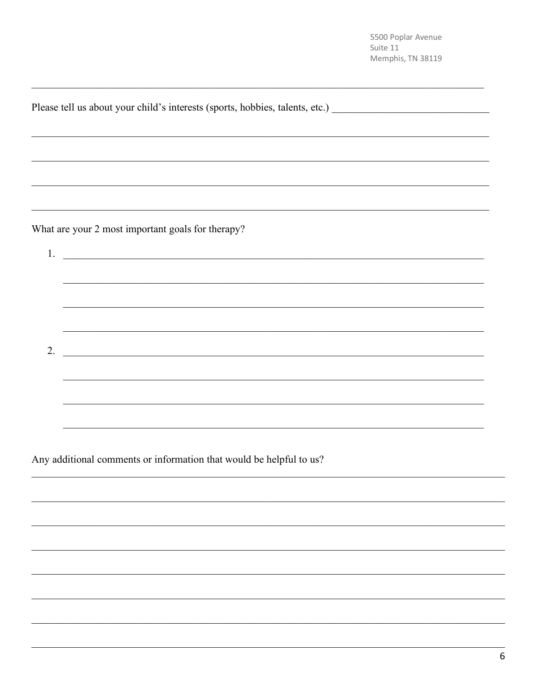|    | Please tell us about your child's interests (sports, hobbies, talents, etc.) _________________________________ |
|----|----------------------------------------------------------------------------------------------------------------|
|    |                                                                                                                |
|    |                                                                                                                |
|    |                                                                                                                |
|    |                                                                                                                |
|    |                                                                                                                |
|    | What are your 2 most important goals for therapy?                                                              |
|    | 1. $\overline{\phantom{a}}$                                                                                    |
|    |                                                                                                                |
|    |                                                                                                                |
|    |                                                                                                                |
|    |                                                                                                                |
| 2. | <u> 1989 - Jan Barnett, fransk politiker (d. 1989)</u>                                                         |
|    |                                                                                                                |
|    |                                                                                                                |
|    |                                                                                                                |
|    |                                                                                                                |

Any additional comments or information that would be helpful to us?